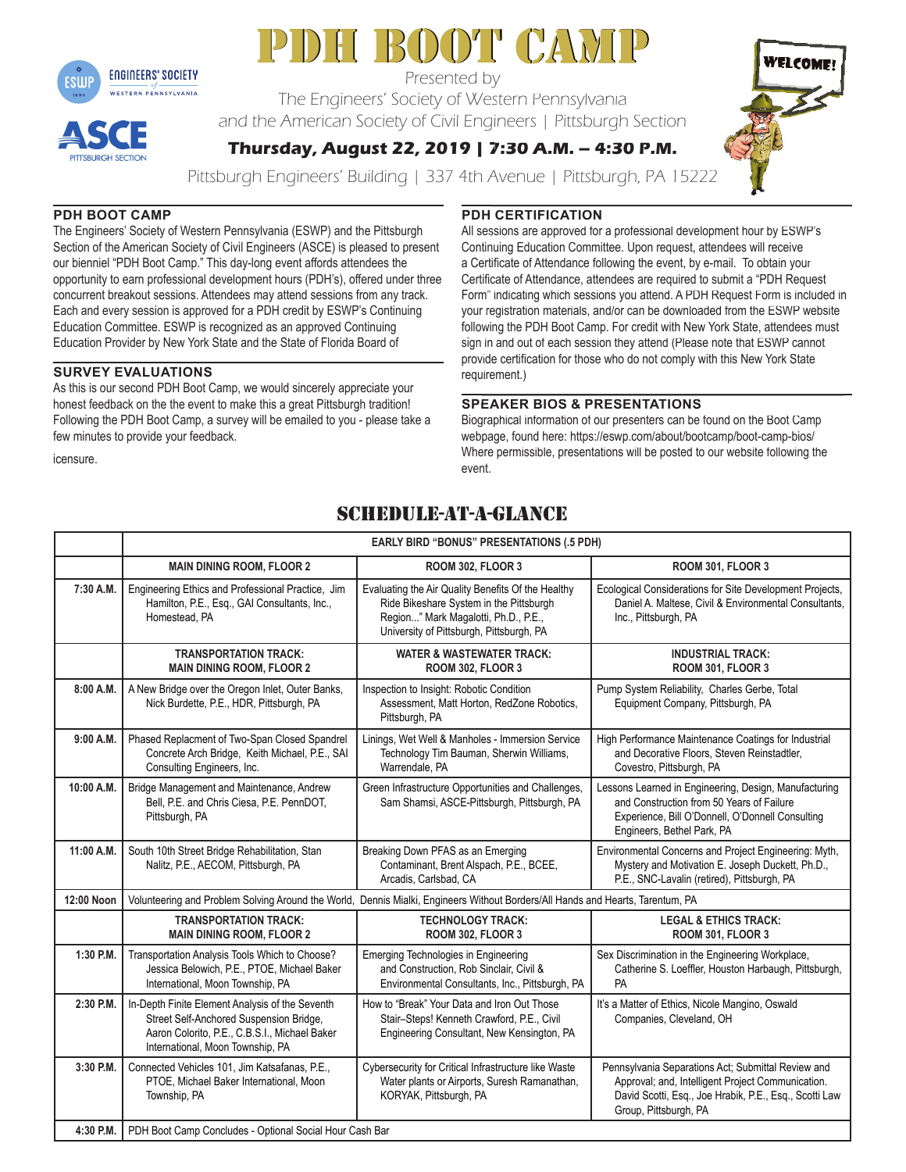

# PDH BOOT CAMP

Presented by

The Engineers' Society of Western Pennsylvania The Engineers' Society of Western Pennsylvania<br>and the American Society of Civil Engineers | Pittsburgh Section



**Thursday, August 22, 2019 | 7:30 A.M. – 4:30 P.M.** 

Pittsburgh Engineers' Building | 337 4th Avenue | Pittsburgh, PA 15222

# **PDH BOOT CAMP**

**TTSBURGH SECTION** 

The Engineers' Society of Western Pennsylvania (ESWP) and the Pittsburgh Section of the American Society of Civil Engineers (ASCE) is pleased to present our bienniel "PDH Boot Camp." This day-long event affords attendees the opportunity to earn professional development hours (PDH's), offered under three concurrent breakout sessions. Attendees may attend sessions from any track. Each and every session is approved for a PDH credit by ESWP's Continuing Education Committee. ESWP is recognized as an approved Continuing Education Provider by New York State and the State of Florida Board of

# **SURVEY EVALUATIONS**

As this is our second PDH Boot Camp, we would sincerely appreciate your honest feedback on the the event to make this a great Pittsburgh tradition! Following the PDH Boot Camp, a survey will be emailed to you - please take a few minutes to provide your feedback.

# **PDH CERTIFICATION**

All sessions are approved for a professional development hour by ESWP's Continuing Education Committee. Upon request, attendees will receive a Certificate of Attendance following the event, by e-mail. To obtain your Certificate of Attendance, attendees are required to submit a "PDH Request Form" indicating which sessions you attend. A PDH Request Form is included in your registration materials, and/or can be downloaded from the ESWP website following the PDH Boot Camp. For credit with New York State, attendees must sign in and out of each session they attend (Please note that ESWP cannot provide certification for those who do not comply with this New York State requirement.) essions are approved for a professional development hour by ESWP<br>tinuing Education Committee. Upon request, attendees will receive<br>prificate of Attendance following the event, by e-mail. To obtain your<br>ificate of Attendanc

# **SPEAKER BIOS & PRESENTATIONS EAKER**

Biographical information of our presenters can be found on the Boot Camp webpage, found here: https://eswp.com/about/bootcamp/boot-camp-bios/<br>Where permissible, presentations will be posted to our website following the Where permissible, presentations will be posted to our website following the event.

# schedule-at-a-glance

|            | <b>EARLY BIRD "BONUS" PRESENTATIONS (.5 PDH)</b>                                                                                                                                |                                                                                                                                                                                   |                                                                                                                                                                                            |
|------------|---------------------------------------------------------------------------------------------------------------------------------------------------------------------------------|-----------------------------------------------------------------------------------------------------------------------------------------------------------------------------------|--------------------------------------------------------------------------------------------------------------------------------------------------------------------------------------------|
|            | <b>MAIN DINING ROOM, FLOOR 2</b>                                                                                                                                                | <b>ROOM 302, FLOOR 3</b>                                                                                                                                                          | <b>ROOM 301, FLOOR 3</b>                                                                                                                                                                   |
| 7:30 A.M.  | Engineering Ethics and Professional Practice, Jim<br>Hamilton, P.E., Esq., GAI Consultants, Inc.,<br>Homestead, PA                                                              | Evaluating the Air Quality Benefits Of the Healthy<br>Ride Bikeshare System in the Pittsburgh<br>Region" Mark Magalotti, Ph.D., P.E.,<br>University of Pittsburgh, Pittsburgh, PA | Ecological Considerations for Site Development Projects,<br>Daniel A. Maltese, Civil & Environmental Consultants,<br>Inc., Pittsburgh, PA                                                  |
|            | <b>TRANSPORTATION TRACK:</b><br><b>MAIN DINING ROOM, FLOOR 2</b>                                                                                                                | <b>WATER &amp; WASTEWATER TRACK:</b><br><b>ROOM 302, FLOOR 3</b>                                                                                                                  | <b>INDUSTRIAL TRACK:</b><br><b>ROOM 301, FLOOR 3</b>                                                                                                                                       |
| 8:00 A.M.  | A New Bridge over the Oregon Inlet, Outer Banks,<br>Nick Burdette, P.E., HDR, Pittsburgh, PA                                                                                    | Inspection to Insight: Robotic Condition<br>Assessment, Matt Horton, RedZone Robotics,<br>Pittsburgh, PA                                                                          | Pump System Reliability, Charles Gerbe, Total<br>Equipment Company, Pittsburgh, PA                                                                                                         |
| 9:00 A.M.  | Phased Replacment of Two-Span Closed Spandrel<br>Concrete Arch Bridge, Keith Michael, P.E., SAI<br>Consulting Engineers, Inc.                                                   | Linings, Wet Well & Manholes - Immersion Service<br>Technology Tim Bauman, Sherwin Williams,<br>Warrendale, PA                                                                    | High Performance Maintenance Coatings for Industrial<br>and Decorative Floors, Steven Reinstadtler,<br>Covestro, Pittsburgh, PA                                                            |
| 10:00 A.M. | Bridge Management and Maintenance, Andrew<br>Bell, P.E. and Chris Ciesa, P.E. PennDOT,<br>Pittsburgh, PA                                                                        | Green Infrastructure Opportunities and Challenges,<br>Sam Shamsi, ASCE-Pittsburgh, Pittsburgh, PA                                                                                 | Lessons Learned in Engineering, Design, Manufacturing<br>and Construction from 50 Years of Failure<br>Experience, Bill O'Donnell, O'Donnell Consulting<br>Engineers, Bethel Park, PA       |
| 11:00 A.M. | South 10th Street Bridge Rehabilitation, Stan<br>Nalitz, P.E., AECOM, Pittsburgh, PA                                                                                            | Breaking Down PFAS as an Emerging<br>Contaminant, Brent Alspach, P.E., BCEE,<br>Arcadis, Carlsbad, CA                                                                             | Environmental Concerns and Project Engineering: Myth,<br>Mystery and Motivation E. Joseph Duckett, Ph.D.,<br>P.E., SNC-Lavalin (retired), Pittsburgh, PA                                   |
| 12:00 Noon | Volunteering and Problem Solving Around the World, Dennis Mialki, Engineers Without Borders/All Hands and Hearts, Tarentum, PA                                                  |                                                                                                                                                                                   |                                                                                                                                                                                            |
|            | <b>TRANSPORTATION TRACK:</b><br><b>MAIN DINING ROOM, FLOOR 2</b>                                                                                                                | <b>TECHNOLOGY TRACK:</b><br><b>ROOM 302, FLOOR 3</b>                                                                                                                              | <b>LEGAL &amp; ETHICS TRACK:</b><br><b>ROOM 301, FLOOR 3</b>                                                                                                                               |
| 1:30 P.M.  | Transportation Analysis Tools Which to Choose?<br>Jessica Belowich, P.E., PTOE, Michael Baker<br>International, Moon Township, PA                                               | Emerging Technologies in Engineering<br>and Construction, Rob Sinclair, Civil &<br>Environmental Consultants, Inc., Pittsburgh, PA                                                | Sex Discrimination in the Engineering Workplace,<br>Catherine S. Loeffler, Houston Harbaugh, Pittsburgh,<br>PA                                                                             |
| 2:30 P.M.  | In-Depth Finite Element Analysis of the Seventh<br>Street Self-Anchored Suspension Bridge,<br>Aaron Colorito, P.E., C.B.S.I., Michael Baker<br>International, Moon Township, PA | How to "Break" Your Data and Iron Out Those<br>Stair-Steps! Kenneth Crawford, P.E., Civil<br>Engineering Consultant, New Kensington, PA                                           | It's a Matter of Ethics, Nicole Mangino, Oswald<br>Companies, Cleveland, OH                                                                                                                |
| 3:30 P.M.  | Connected Vehicles 101, Jim Katsafanas, P.E.,<br>PTOE, Michael Baker International, Moon<br>Township, PA                                                                        | Cybersecurity for Critical Infrastructure like Waste<br>Water plants or Airports, Suresh Ramanathan,<br>KORYAK, Pittsburgh, PA                                                    | Pennsylvania Separations Act: Submittal Review and<br>Approval; and, Intelligent Project Communication.<br>David Scotti, Esq., Joe Hrabik, P.E., Esq., Scotti Law<br>Group, Pittsburgh, PA |
| 4:30 P.M.  | PDH Boot Camp Concludes - Optional Social Hour Cash Bar                                                                                                                         |                                                                                                                                                                                   |                                                                                                                                                                                            |

icensure.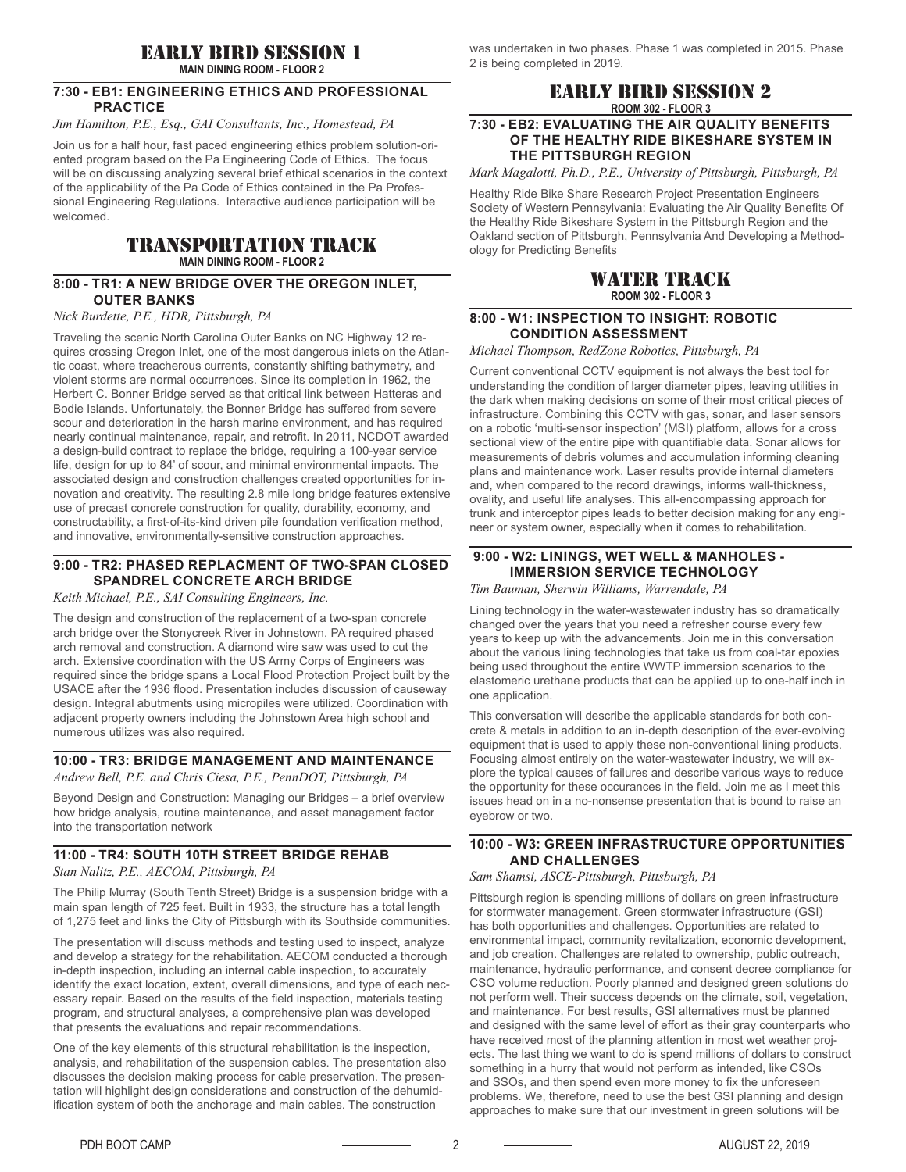# early bird session 1

**MAIN DINING ROOM - FLOOR 2**

#### **7:30 - EB1: ENGINEERING ETHICS AND PROFESSIONAL PRACTICE**

*Jim Hamilton, P.E., Esq., GAI Consultants, Inc., Homestead, PA*

Join us for a half hour, fast paced engineering ethics problem solution-oriented program based on the Pa Engineering Code of Ethics. The focus will be on discussing analyzing several brief ethical scenarios in the context of the applicability of the Pa Code of Ethics contained in the Pa Professional Engineering Regulations. Interactive audience participation will be welcomed.

# transportation track **MAIN DINING ROOM - FLOOR 2**

#### **8:00 - TR1: A NEW BRIDGE OVER THE OREGON INLET, OUTER BANKS**

#### *Nick Burdette, P.E., HDR, Pittsburgh, PA*

Traveling the scenic North Carolina Outer Banks on NC Highway 12 requires crossing Oregon Inlet, one of the most dangerous inlets on the Atlantic coast, where treacherous currents, constantly shifting bathymetry, and violent storms are normal occurrences. Since its completion in 1962, the Herbert C. Bonner Bridge served as that critical link between Hatteras and Bodie Islands. Unfortunately, the Bonner Bridge has suffered from severe scour and deterioration in the harsh marine environment, and has required nearly continual maintenance, repair, and retrofit. In 2011, NCDOT awarded a design-build contract to replace the bridge, requiring a 100-year service life, design for up to 84' of scour, and minimal environmental impacts. The associated design and construction challenges created opportunities for innovation and creativity. The resulting 2.8 mile long bridge features extensive use of precast concrete construction for quality, durability, economy, and constructability, a first-of-its-kind driven pile foundation verification method, and innovative, environmentally-sensitive construction approaches.

# **9:00 - TR2: PHASED REPLACMENT OF TWO-SPAN CLOSED SPANDREL CONCRETE ARCH BRIDGE**

*Keith Michael, P.E., SAI Consulting Engineers, Inc.*

The design and construction of the replacement of a two-span concrete arch bridge over the Stonycreek River in Johnstown, PA required phased arch removal and construction. A diamond wire saw was used to cut the arch. Extensive coordination with the US Army Corps of Engineers was required since the bridge spans a Local Flood Protection Project built by the USACE after the 1936 flood. Presentation includes discussion of causeway design. Integral abutments using micropiles were utilized. Coordination with adjacent property owners including the Johnstown Area high school and numerous utilizes was also required.

#### **10:00 - TR3: BRIDGE MANAGEMENT AND MAINTENANCE** *Andrew Bell, P.E. and Chris Ciesa, P.E., PennDOT, Pittsburgh, PA*

Beyond Design and Construction: Managing our Bridges – a brief overview how bridge analysis, routine maintenance, and asset management factor into the transportation network

#### **11:00 - TR4: SOUTH 10TH STREET BRIDGE REHAB** *Stan Nalitz, P.E., AECOM, Pittsburgh, PA*

The Philip Murray (South Tenth Street) Bridge is a suspension bridge with a main span length of 725 feet. Built in 1933, the structure has a total length of 1,275 feet and links the City of Pittsburgh with its Southside communities.

The presentation will discuss methods and testing used to inspect, analyze and develop a strategy for the rehabilitation. AECOM conducted a thorough in-depth inspection, including an internal cable inspection, to accurately identify the exact location, extent, overall dimensions, and type of each necessary repair. Based on the results of the field inspection, materials testing program, and structural analyses, a comprehensive plan was developed that presents the evaluations and repair recommendations.

One of the key elements of this structural rehabilitation is the inspection, analysis, and rehabilitation of the suspension cables. The presentation also discusses the decision making process for cable preservation. The presentation will highlight design considerations and construction of the dehumidification system of both the anchorage and main cables. The construction

was undertaken in two phases. Phase 1 was completed in 2015. Phase 2 is being completed in 2019.

# early bird session 2 **ROOM 302 - FLOOR 3**

#### **7:30 - EB2: EVALUATING THE AIR QUALITY BENEFITS OF THE HEALTHY RIDE BIKESHARE SYSTEM IN THE PITTSBURGH REGION**

*Mark Magalotti, Ph.D., P.E., University of Pittsburgh, Pittsburgh, PA*

Healthy Ride Bike Share Research Project Presentation Engineers Society of Western Pennsylvania: Evaluating the Air Quality Benefits Of the Healthy Ride Bikeshare System in the Pittsburgh Region and the Oakland section of Pittsburgh, Pennsylvania And Developing a Methodology for Predicting Benefits

# water track **ROOM 302 - FLOOR 3**

## **8:00 - W1: INSPECTION TO INSIGHT: ROBOTIC CONDITION ASSESSMENT**

#### *Michael Thompson, RedZone Robotics, Pittsburgh, PA*

Current conventional CCTV equipment is not always the best tool for understanding the condition of larger diameter pipes, leaving utilities in the dark when making decisions on some of their most critical pieces of infrastructure. Combining this CCTV with gas, sonar, and laser sensors on a robotic 'multi-sensor inspection' (MSI) platform, allows for a cross sectional view of the entire pipe with quantifiable data. Sonar allows for measurements of debris volumes and accumulation informing cleaning plans and maintenance work. Laser results provide internal diameters and, when compared to the record drawings, informs wall-thickness, ovality, and useful life analyses. This all-encompassing approach for trunk and interceptor pipes leads to better decision making for any engineer or system owner, especially when it comes to rehabilitation.

# **9:00 - W2: LININGS, WET WELL & MANHOLES - IMMERSION SERVICE TECHNOLOGY**

#### *Tim Bauman, Sherwin Williams, Warrendale, PA*

Lining technology in the water-wastewater industry has so dramatically changed over the years that you need a refresher course every few years to keep up with the advancements. Join me in this conversation about the various lining technologies that take us from coal-tar epoxies being used throughout the entire WWTP immersion scenarios to the elastomeric urethane products that can be applied up to one-half inch in one application.

This conversation will describe the applicable standards for both concrete & metals in addition to an in-depth description of the ever-evolving equipment that is used to apply these non-conventional lining products. Focusing almost entirely on the water-wastewater industry, we will explore the typical causes of failures and describe various ways to reduce the opportunity for these occurances in the field. Join me as I meet this issues head on in a no-nonsense presentation that is bound to raise an eyebrow or two.

# **10:00 - W3: GREEN INFRASTRUCTURE OPPORTUNITIES AND CHALLENGES**

*Sam Shamsi, ASCE-Pittsburgh, Pittsburgh, PA* 

Pittsburgh region is spending millions of dollars on green infrastructure for stormwater management. Green stormwater infrastructure (GSI) has both opportunities and challenges. Opportunities are related to environmental impact, community revitalization, economic development, and job creation. Challenges are related to ownership, public outreach, maintenance, hydraulic performance, and consent decree compliance for CSO volume reduction. Poorly planned and designed green solutions do not perform well. Their success depends on the climate, soil, vegetation, and maintenance. For best results, GSI alternatives must be planned and designed with the same level of effort as their gray counterparts who have received most of the planning attention in most wet weather projects. The last thing we want to do is spend millions of dollars to construct something in a hurry that would not perform as intended, like CSOs and SSOs, and then spend even more money to fix the unforeseen problems. We, therefore, need to use the best GSI planning and design approaches to make sure that our investment in green solutions will be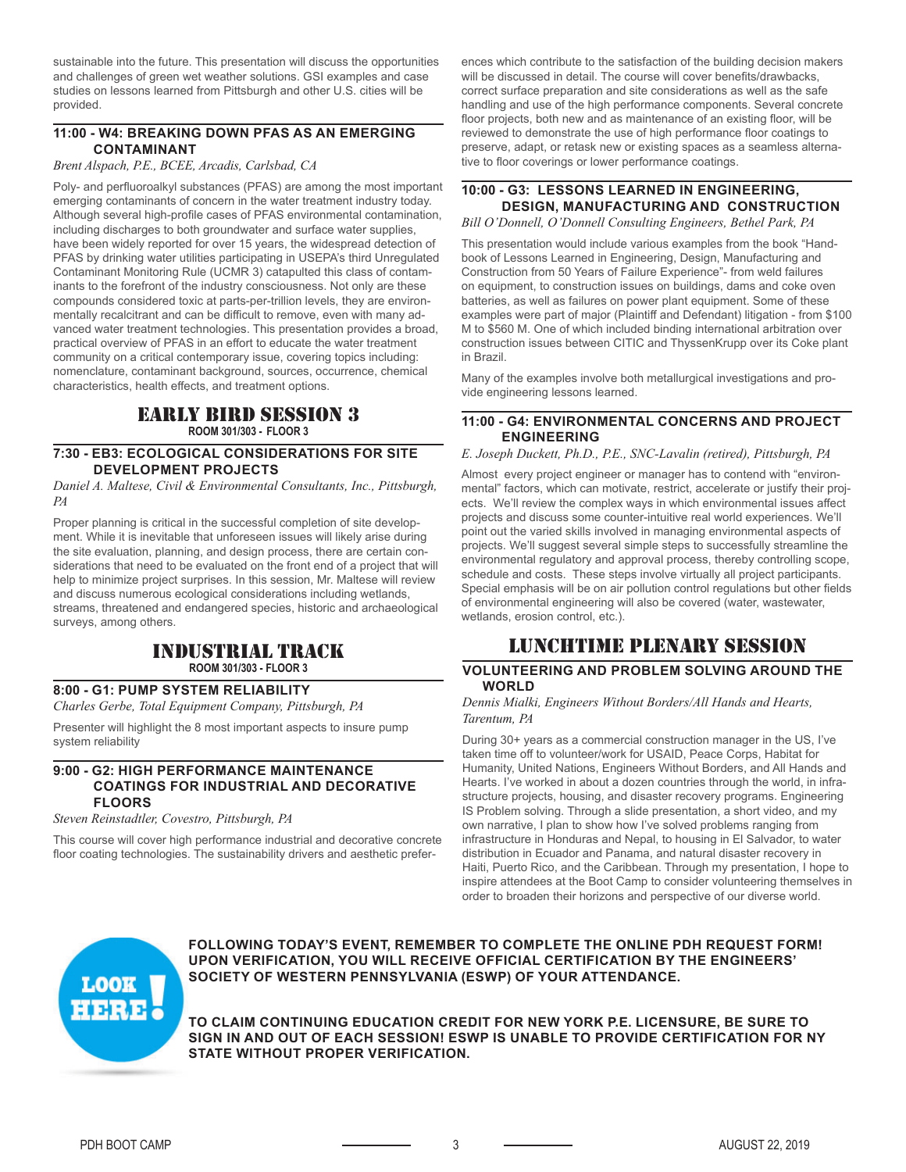sustainable into the future. This presentation will discuss the opportunities and challenges of green wet weather solutions. GSI examples and case studies on lessons learned from Pittsburgh and other U.S. cities will be provided.

# **11:00 - W4: BREAKING DOWN PFAS AS AN EMERGING CONTAMINANT**

*Brent Alspach, P.E., BCEE, Arcadis, Carlsbad, CA*

Poly- and perfluoroalkyl substances (PFAS) are among the most important emerging contaminants of concern in the water treatment industry today. Although several high-profile cases of PFAS environmental contamination. including discharges to both groundwater and surface water supplies, have been widely reported for over 15 years, the widespread detection of PFAS by drinking water utilities participating in USEPA's third Unregulated Contaminant Monitoring Rule (UCMR 3) catapulted this class of contaminants to the forefront of the industry consciousness. Not only are these compounds considered toxic at parts-per-trillion levels, they are environmentally recalcitrant and can be difficult to remove, even with many advanced water treatment technologies. This presentation provides a broad, practical overview of PFAS in an effort to educate the water treatment community on a critical contemporary issue, covering topics including: nomenclature, contaminant background, sources, occurrence, chemical characteristics, health effects, and treatment options.

# early bird session 3 **ROOM 301/303 - FLOOR 3**

### **7:30 - EB3: ECOLOGICAL CONSIDERATIONS FOR SITE DEVELOPMENT PROJECTS**

*Daniel A. Maltese, Civil & Environmental Consultants, Inc., Pittsburgh, PA*

Proper planning is critical in the successful completion of site development. While it is inevitable that unforeseen issues will likely arise during the site evaluation, planning, and design process, there are certain considerations that need to be evaluated on the front end of a project that will help to minimize project surprises. In this session, Mr. Maltese will review and discuss numerous ecological considerations including wetlands, streams, threatened and endangered species, historic and archaeological surveys, among others.

# industrial track **ROOM 301/303 - FLOOR 3**

## **8:00 - G1: PUMP SYSTEM RELIABILITY**

*Charles Gerbe, Total Equipment Company, Pittsburgh, PA*

Presenter will highlight the 8 most important aspects to insure pump system reliability

#### **9:00 - G2: HIGH PERFORMANCE MAINTENANCE COATINGS FOR INDUSTRIAL AND DECORATIVE FLOORS**

*Steven Reinstadtler, Covestro, Pittsburgh, PA*

This course will cover high performance industrial and decorative concrete floor coating technologies. The sustainability drivers and aesthetic prefer-

ences which contribute to the satisfaction of the building decision makers will be discussed in detail. The course will cover benefits/drawbacks, correct surface preparation and site considerations as well as the safe handling and use of the high performance components. Several concrete floor projects, both new and as maintenance of an existing floor, will be reviewed to demonstrate the use of high performance floor coatings to preserve, adapt, or retask new or existing spaces as a seamless alternative to floor coverings or lower performance coatings.

# **10:00 - G3: LESSONS LEARNED IN ENGINEERING, DESIGN, MANUFACTURING AND CONSTRUCTION**

*Bill O'Donnell, O'Donnell Consulting Engineers, Bethel Park, PA*

This presentation would include various examples from the book "Handbook of Lessons Learned in Engineering, Design, Manufacturing and Construction from 50 Years of Failure Experience"- from weld failures on equipment, to construction issues on buildings, dams and coke oven batteries, as well as failures on power plant equipment. Some of these examples were part of major (Plaintiff and Defendant) litigation - from \$100 M to \$560 M. One of which included binding international arbitration over construction issues between CITIC and ThyssenKrupp over its Coke plant in Brazil.

Many of the examples involve both metallurgical investigations and provide engineering lessons learned.

## **11:00 - G4: ENVIRONMENTAL CONCERNS AND PROJECT ENGINEERING**

*E. Joseph Duckett, Ph.D., P.E., SNC-Lavalin (retired), Pittsburgh, PA*

Almost every project engineer or manager has to contend with "environmental" factors, which can motivate, restrict, accelerate or justify their projects. We'll review the complex ways in which environmental issues affect projects and discuss some counter-intuitive real world experiences. We'll point out the varied skills involved in managing environmental aspects of projects. We'll suggest several simple steps to successfully streamline the environmental regulatory and approval process, thereby controlling scope, schedule and costs. These steps involve virtually all project participants. Special emphasis will be on air pollution control regulations but other fields of environmental engineering will also be covered (water, wastewater, wetlands, erosion control, etc.).

# lunchtime plenary session

## **VOLUNTEERING AND PROBLEM SOLVING AROUND THE WORLD**

#### *Dennis Mialki, Engineers Without Borders/All Hands and Hearts, Tarentum, PA*

During 30+ years as a commercial construction manager in the US, I've taken time off to volunteer/work for USAID, Peace Corps, Habitat for Humanity, United Nations, Engineers Without Borders, and All Hands and Hearts. I've worked in about a dozen countries through the world, in infrastructure projects, housing, and disaster recovery programs. Engineering IS Problem solving. Through a slide presentation, a short video, and my own narrative, I plan to show how I've solved problems ranging from infrastructure in Honduras and Nepal, to housing in El Salvador, to water distribution in Ecuador and Panama, and natural disaster recovery in Haiti, Puerto Rico, and the Caribbean. Through my presentation, I hope to inspire attendees at the Boot Camp to consider volunteering themselves in order to broaden their horizons and perspective of our diverse world.



**FOLLOWING TODAY'S EVENT, REMEMBER TO COMPLETE THE ONLINE PDH REQUEST FORM! UPON VERIFICATION, YOU WILL RECEIVE OFFICIAL CERTIFICATION BY THE ENGINEERS' SOCIETY OF WESTERN PENNSYLVANIA (ESWP) OF YOUR ATTENDANCE.** 

**TO CLAIM CONTINUING EDUCATION CREDIT FOR NEW YORK P.E. LICENSURE, BE SURE TO SIGN IN AND OUT OF EACH SESSION! ESWP IS UNABLE TO PROVIDE CERTIFICATION FOR NY STATE WITHOUT PROPER VERIFICATION.**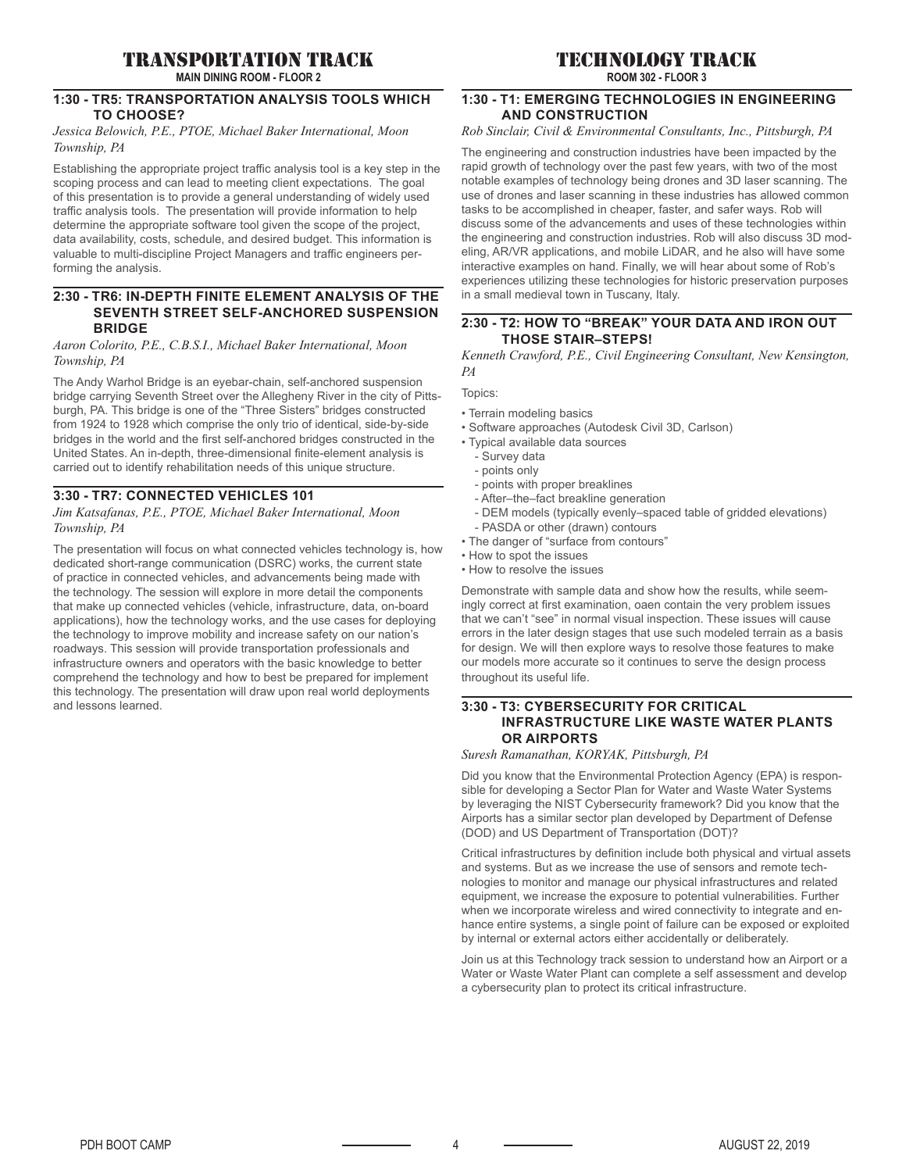# transportation track

**MAIN DINING ROOM - FLOOR 2**

## **1:30 - TR5: TRANSPORTATION ANALYSIS TOOLS WHICH TO CHOOSE?**

#### *Jessica Belowich, P.E., PTOE, Michael Baker International, Moon Township, PA*

Establishing the appropriate project traffic analysis tool is a key step in the scoping process and can lead to meeting client expectations. The goal of this presentation is to provide a general understanding of widely used traffic analysis tools. The presentation will provide information to help determine the appropriate software tool given the scope of the project, data availability, costs, schedule, and desired budget. This information is valuable to multi-discipline Project Managers and traffic engineers performing the analysis.

#### **2:30 - TR6: IN-DEPTH FINITE ELEMENT ANALYSIS OF THE SEVENTH STREET SELF-ANCHORED SUSPENSION BRIDGE**

#### *Aaron Colorito, P.E., C.B.S.I., Michael Baker International, Moon Township, PA*

The Andy Warhol Bridge is an eyebar-chain, self-anchored suspension bridge carrying Seventh Street over the Allegheny River in the city of Pittsburgh, PA. This bridge is one of the "Three Sisters" bridges constructed from 1924 to 1928 which comprise the only trio of identical, side-by-side bridges in the world and the first self-anchored bridges constructed in the United States. An in-depth, three-dimensional finite-element analysis is carried out to identify rehabilitation needs of this unique structure.

# **3:30 - TR7: CONNECTED VEHICLES 101**

#### *Jim Katsafanas, P.E., PTOE, Michael Baker International, Moon Township, PA*

The presentation will focus on what connected vehicles technology is, how dedicated short-range communication (DSRC) works, the current state of practice in connected vehicles, and advancements being made with the technology. The session will explore in more detail the components that make up connected vehicles (vehicle, infrastructure, data, on-board applications), how the technology works, and the use cases for deploying the technology to improve mobility and increase safety on our nation's roadways. This session will provide transportation professionals and infrastructure owners and operators with the basic knowledge to better comprehend the technology and how to best be prepared for implement this technology. The presentation will draw upon real world deployments and lessons learned.

# technology track

**ROOM 302 - FLOOR 3**

#### **1:30 - T1: EMERGING TECHNOLOGIES IN ENGINEERING AND CONSTRUCTION**

# *Rob Sinclair, Civil & Environmental Consultants, Inc., Pittsburgh, PA*

The engineering and construction industries have been impacted by the rapid growth of technology over the past few years, with two of the most notable examples of technology being drones and 3D laser scanning. The use of drones and laser scanning in these industries has allowed common tasks to be accomplished in cheaper, faster, and safer ways. Rob will discuss some of the advancements and uses of these technologies within the engineering and construction industries. Rob will also discuss 3D modeling, AR/VR applications, and mobile LiDAR, and he also will have some interactive examples on hand. Finally, we will hear about some of Rob's experiences utilizing these technologies for historic preservation purposes in a small medieval town in Tuscany, Italy.

## **2:30 - T2: HOW TO "BREAK" YOUR DATA AND IRON OUT THOSE STAIR–STEPS!**

*Kenneth Crawford, P.E., Civil Engineering Consultant, New Kensington, PA* 

Topics:

- Terrain modeling basics
- Software approaches (Autodesk Civil 3D, Carlson)
- Typical available data sources
	- Survey data
	- points only
	- points with proper breaklines
	- After–the–fact breakline generation
	- DEM models (typically evenly–spaced table of gridded elevations)
	- PASDA or other (drawn) contours
- The danger of "surface from contours"
- How to spot the issues
- How to resolve the issues

Demonstrate with sample data and show how the results, while seemingly correct at first examination, oaen contain the very problem issues that we can't "see" in normal visual inspection. These issues will cause errors in the later design stages that use such modeled terrain as a basis for design. We will then explore ways to resolve those features to make our models more accurate so it continues to serve the design process throughout its useful life.

### **3:30 - T3: CYBERSECURITY FOR CRITICAL INFRASTRUCTURE LIKE WASTE WATER PLANTS OR AIRPORTS**

*Suresh Ramanathan, KORYAK, Pittsburgh, PA*

Did you know that the Environmental Protection Agency (EPA) is responsible for developing a Sector Plan for Water and Waste Water Systems by leveraging the NIST Cybersecurity framework? Did you know that the Airports has a similar sector plan developed by Department of Defense (DOD) and US Department of Transportation (DOT)?

Critical infrastructures by definition include both physical and virtual assets and systems. But as we increase the use of sensors and remote technologies to monitor and manage our physical infrastructures and related equipment, we increase the exposure to potential vulnerabilities. Further when we incorporate wireless and wired connectivity to integrate and enhance entire systems, a single point of failure can be exposed or exploited by internal or external actors either accidentally or deliberately.

Join us at this Technology track session to understand how an Airport or a Water or Waste Water Plant can complete a self assessment and develop a cybersecurity plan to protect its critical infrastructure.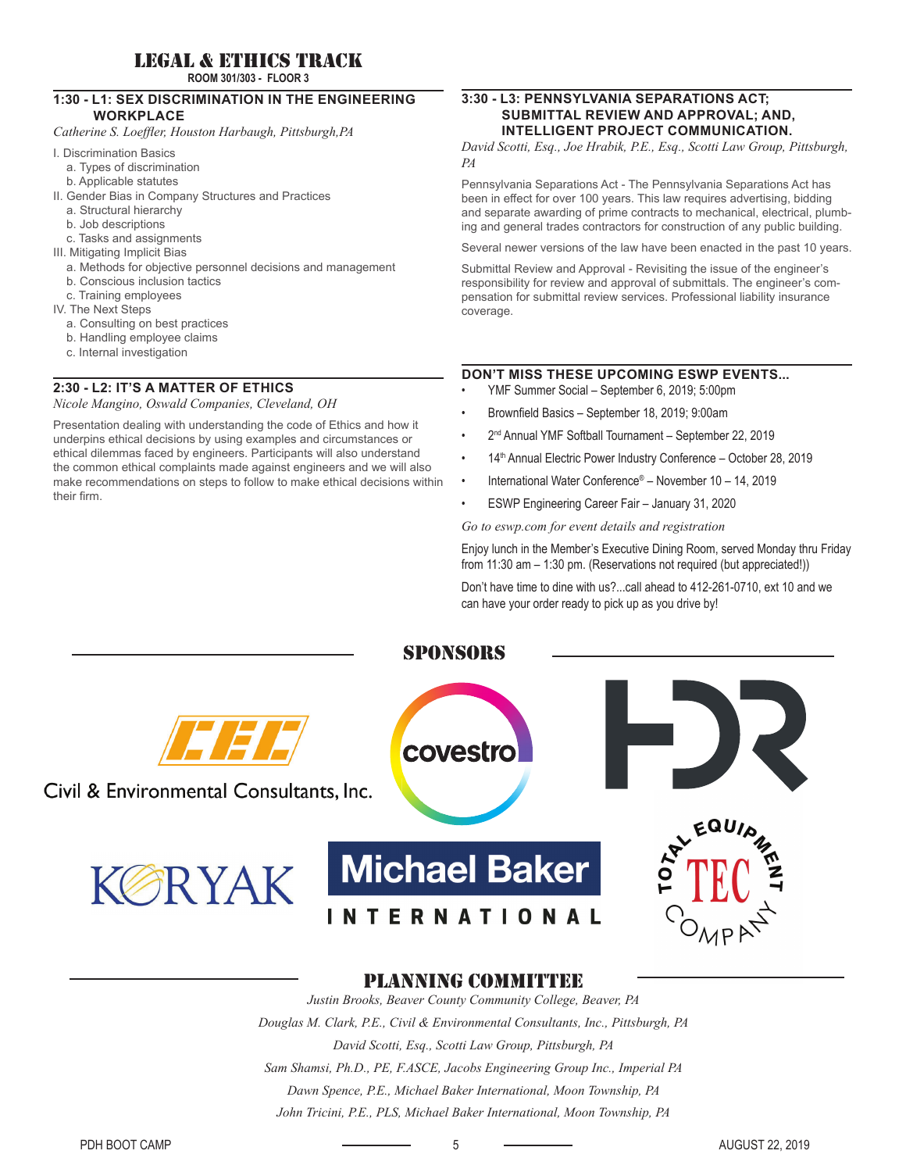# legal & ethics track

**ROOM 301/303 - FLOOR 3**

#### **1:30 - L1: SEX DISCRIMINATION IN THE ENGINEERING WORKPLACE**

*Catherine S. Loeffl er, Houston Harbaugh, Pittsburgh,PA*

- I. Discrimination Basics
	- a. Types of discrimination
	- b. Applicable statutes
- II. Gender Bias in Company Structures and Practices
	- a. Structural hierarchy
	- b. Job descriptions
	- c. Tasks and assignments
- III. Mitigating Implicit Bias
	- a. Methods for objective personnel decisions and management
	- b. Conscious inclusion tactics
	- c. Training employees
- IV. The Next Steps
	- a. Consulting on best practices
	- b. Handling employee claims
	- c. Internal investigation

### **2:30 - L2: IT'S A MATTER OF ETHICS**

*Nicole Mangino, Oswald Companies, Cleveland, OH*

Presentation dealing with understanding the code of Ethics and how it underpins ethical decisions by using examples and circumstances or ethical dilemmas faced by engineers. Participants will also understand the common ethical complaints made against engineers and we will also make recommendations on steps to follow to make ethical decisions within their firm.

## **3:30 - L3: PENNSYLVANIA SEPARATIONS ACT; SUBMITTAL REVIEW AND APPROVAL; AND, INTELLIGENT PROJECT COMMUNICATION.**

*David Scotti, Esq., Joe Hrabik, P.E., Esq., Scotti Law Group, Pittsburgh, PA*

Pennsylvania Separations Act - The Pennsylvania Separations Act has been in effect for over 100 years. This law requires advertising, bidding and separate awarding of prime contracts to mechanical, electrical, plumbing and general trades contractors for construction of any public building.

Several newer versions of the law have been enacted in the past 10 years.

Submittal Review and Approval - Revisiting the issue of the engineer's responsibility for review and approval of submittals. The engineer's compensation for submittal review services. Professional liability insurance coverage.

# **DON'T MISS THESE UPCOMING ESWP EVENTS...**

- YMF Summer Social September 6, 2019; 5:00pm
- Brownfield Basics September 18, 2019; 9:00am
- 2nd Annual YMF Softball Tournament September 22, 2019
- 14<sup>th</sup> Annual Electric Power Industry Conference October 28, 2019
- International Water Conference® November 10 14, 2019
- ESWP Engineering Career Fair January 31, 2020

*Go to eswp.com for event details and registration*

Enjoy lunch in the Member's Executive Dining Room, served Monday thru Friday from 11:30 am – 1:30 pm. (Reservations not required (but appreciated!))

Don't have time to dine with us?...call ahead to 412-261-0710, ext 10 and we can have your order ready to pick up as you drive by!



# planning committee

*Justin Brooks, Beaver County Community College, Beaver, PA Douglas M. Clark, P.E., Civil & Environmental Consultants, Inc., Pittsburgh, PA David Scotti, Esq., Scotti Law Group, Pittsburgh, PA Sam Shamsi, Ph.D., PE, F.ASCE, Jacobs Engineering Group Inc., Imperial PA Dawn Spence, P.E., Michael Baker International, Moon Township, PA John Tricini, P.E., PLS, Michael Baker International, Moon Township, PA*